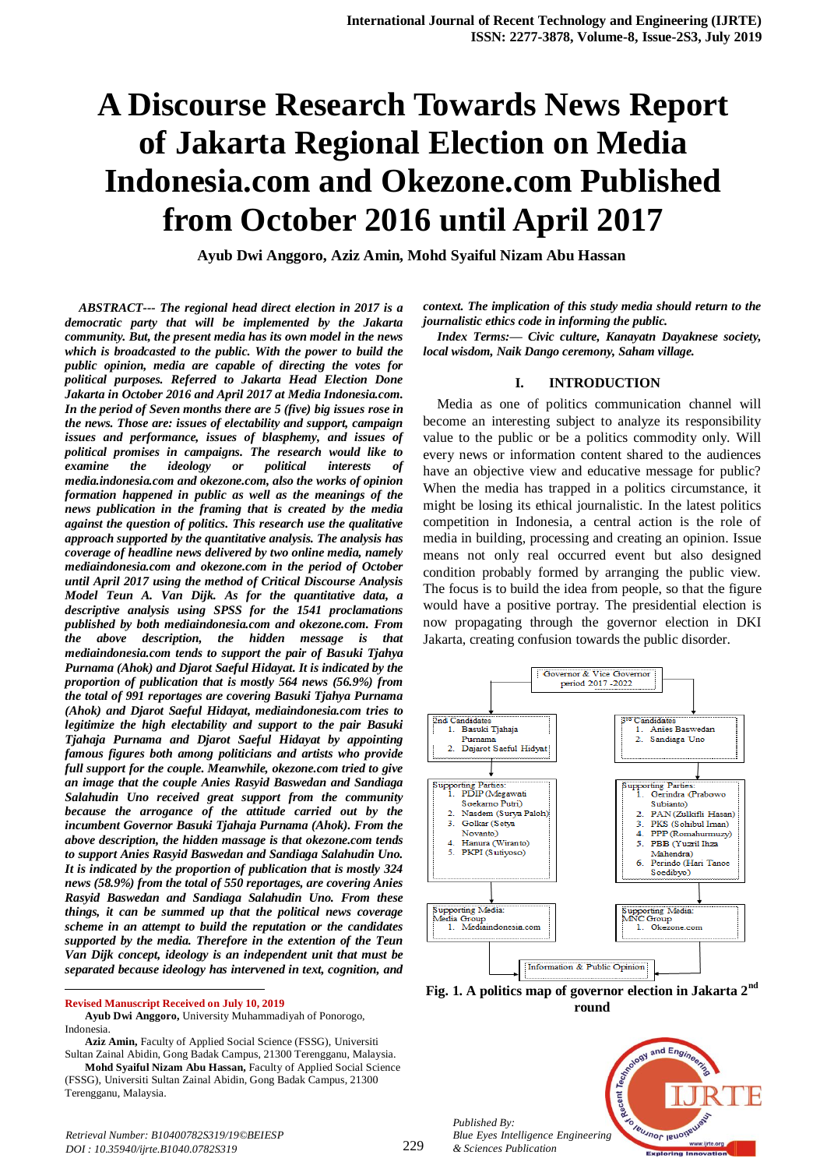# **A Discourse Research Towards News Report of Jakarta Regional Election on Media Indonesia.com and Okezone.com Published from October 2016 until April 2017**

**Ayub Dwi Anggoro, Aziz Amin, Mohd Syaiful Nizam Abu Hassan** 

*ABSTRACT--- The regional head direct election in 2017 is a democratic party that will be implemented by the Jakarta community. But, the present media has its own model in the news which is broadcasted to the public. With the power to build the public opinion, media are capable of directing the votes for political purposes. Referred to Jakarta Head Election Done Jakarta in October 2016 and April 2017 at Media Indonesia.com. In the period of Seven months there are 5 (five) big issues rose in the news. Those are: issues of electability and support, campaign issues and performance, issues of blasphemy, and issues of political promises in campaigns. The research would like to examine* the *ideology* or *political interests media.indonesia.com and okezone.com, also the works of opinion formation happened in public as well as the meanings of the news publication in the framing that is created by the media against the question of politics. This research use the qualitative approach supported by the quantitative analysis. The analysis has coverage of headline news delivered by two online media, namely mediaindonesia.com and okezone.com in the period of October until April 2017 using the method of Critical Discourse Analysis Model Teun A. Van Dijk. As for the quantitative data, a descriptive analysis using SPSS for the 1541 proclamations published by both mediaindonesia.com and okezone.com. From the above description, the hidden message is that mediaindonesia.com tends to support the pair of Basuki Tjahya Purnama (Ahok) and Djarot Saeful Hidayat. It is indicated by the proportion of publication that is mostly 564 news (56.9%) from the total of 991 reportages are covering Basuki Tjahya Purnama (Ahok) and Djarot Saeful Hidayat, mediaindonesia.com tries to legitimize the high electability and support to the pair Basuki Tjahaja Purnama and Djarot Saeful Hidayat by appointing famous figures both among politicians and artists who provide full support for the couple. Meanwhile, okezone.com tried to give an image that the couple Anies Rasyid Baswedan and Sandiaga Salahudin Uno received great support from the community because the arrogance of the attitude carried out by the incumbent Governor Basuki Tjahaja Purnama (Ahok). From the above description, the hidden massage is that okezone.com tends to support Anies Rasyid Baswedan and Sandiaga Salahudin Uno. It is indicated by the proportion of publication that is mostly 324 news (58.9%) from the total of 550 reportages, are covering Anies Rasyid Baswedan and Sandiaga Salahudin Uno. From these things, it can be summed up that the political news coverage scheme in an attempt to build the reputation or the candidates supported by the media. Therefore in the extention of the Teun Van Dijk concept, ideology is an independent unit that must be separated because ideology has intervened in text, cognition, and* 

**Revised Manuscript Received on July 10, 2019**

 $\overline{a}$ 

*context. The implication of this study media should return to the journalistic ethics code in informing the public.*

*Index Terms:— Civic culture, Kanayatn Dayaknese society, local wisdom, Naik Dango ceremony, Saham village.*

#### **I. INTRODUCTION**

Media as one of politics communication channel will become an interesting subject to analyze its responsibility value to the public or be a politics commodity only. Will every news or information content shared to the audiences have an objective view and educative message for public? When the media has trapped in a politics circumstance, it might be losing its ethical journalistic. In the latest politics competition in Indonesia, a central action is the role of media in building, processing and creating an opinion. Issue means not only real occurred event but also designed condition probably formed by arranging the public view. The focus is to build the idea from people, so that the figure would have a positive portray. The presidential election is now propagating through the governor election in DKI Jakarta, creating confusion towards the public disorder.



**Fig. 1. A politics map of governor election in Jakarta 2nd round**



*Published By:*

**Ayub Dwi Anggoro,** University Muhammadiyah of Ponorogo, Indonesia.

**Aziz Amin,** Faculty of Applied Social Science (FSSG), Universiti Sultan Zainal Abidin, Gong Badak Campus, 21300 Terengganu, Malaysia.

**Mohd Syaiful Nizam Abu Hassan,** Faculty of Applied Social Science (FSSG), Universiti Sultan Zainal Abidin, Gong Badak Campus, 21300 Terengganu, Malaysia.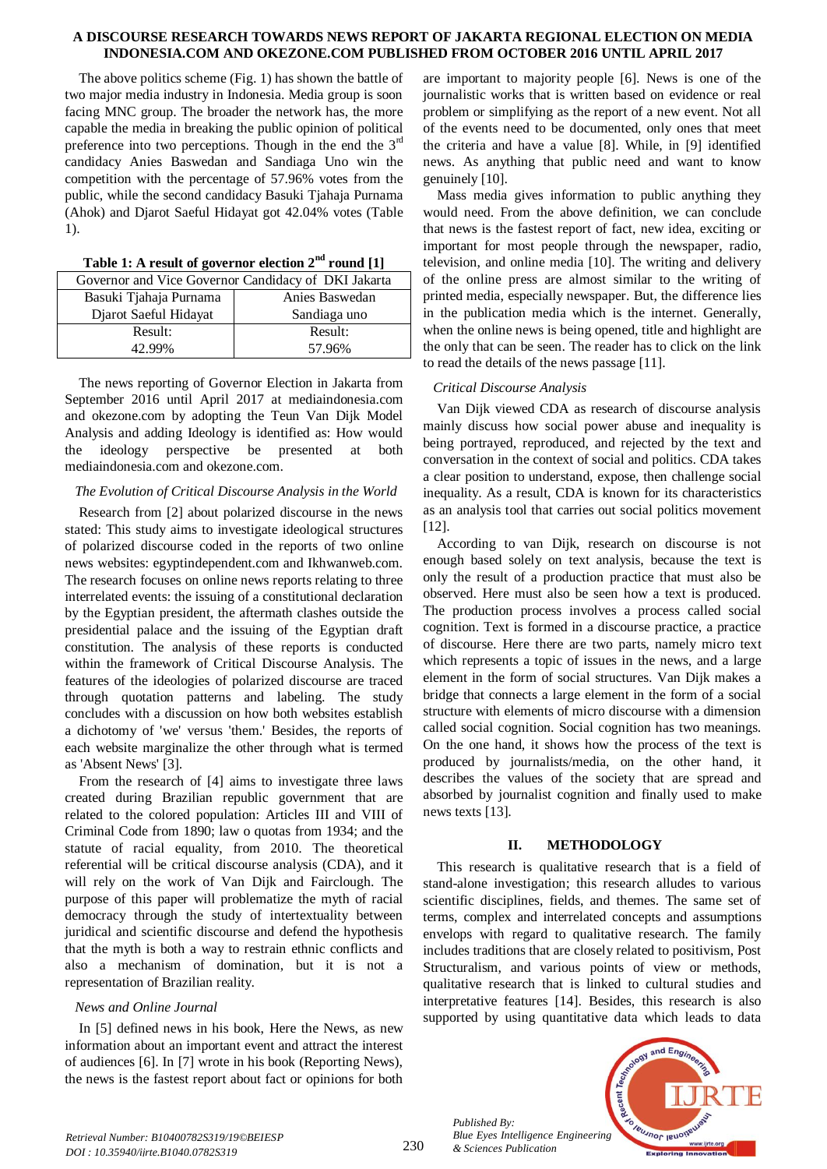The above politics scheme (Fig. 1) has shown the battle of two major media industry in Indonesia. Media group is soon facing MNC group. The broader the network has, the more capable the media in breaking the public opinion of political preference into two perceptions. Though in the end the  $3<sup>rd</sup>$ candidacy Anies Baswedan and Sandiaga Uno win the competition with the percentage of 57.96% votes from the public, while the second candidacy Basuki Tjahaja Purnama (Ahok) and Djarot Saeful Hidayat got 42.04% votes (Table 1).

| Governor and Vice Governor Candidacy of DKI Jakarta |                |  |  |
|-----------------------------------------------------|----------------|--|--|
| Basuki Tjahaja Purnama                              | Anies Baswedan |  |  |
| Djarot Saeful Hidayat                               | Sandiaga uno   |  |  |
| Result:                                             | Result:        |  |  |
| 42.99%                                              | 57.96%         |  |  |

**Table 1: A result of governor election 2nd round [1]**

The news reporting of Governor Election in Jakarta from September 2016 until April 2017 at mediaindonesia.com and okezone.com by adopting the Teun Van Dijk Model Analysis and adding Ideology is identified as: How would the ideology perspective be presented at both mediaindonesia.com and okezone.com.

## *The Evolution of Critical Discourse Analysis in the World*

Research from [2] about polarized discourse in the news stated: This study aims to investigate ideological structures of polarized discourse coded in the reports of two online news websites: egyptindependent.com and Ikhwanweb.com. The research focuses on online news reports relating to three interrelated events: the issuing of a constitutional declaration by the Egyptian president, the aftermath clashes outside the presidential palace and the issuing of the Egyptian draft constitution. The analysis of these reports is conducted within the framework of Critical Discourse Analysis. The features of the ideologies of polarized discourse are traced through quotation patterns and labeling. The study concludes with a discussion on how both websites establish a dichotomy of 'we' versus 'them.' Besides, the reports of each website marginalize the other through what is termed as 'Absent News' [3].

From the research of [4] aims to investigate three laws created during Brazilian republic government that are related to the colored population: Articles III and VIII of Criminal Code from 1890; law o quotas from 1934; and the statute of racial equality, from 2010. The theoretical referential will be critical discourse analysis (CDA), and it will rely on the work of Van Dijk and Fairclough. The purpose of this paper will problematize the myth of racial democracy through the study of intertextuality between juridical and scientific discourse and defend the hypothesis that the myth is both a way to restrain ethnic conflicts and also a mechanism of domination, but it is not a representation of Brazilian reality.

## *News and Online Journal*

In [5] defined news in his book, Here the News, as new information about an important event and attract the interest of audiences [6]. In [7] wrote in his book (Reporting News), the news is the fastest report about fact or opinions for both

are important to majority people [6]. News is one of the journalistic works that is written based on evidence or real problem or simplifying as the report of a new event. Not all of the events need to be documented, only ones that meet the criteria and have a value [8]. While, in [9] identified news. As anything that public need and want to know genuinely [10].

Mass media gives information to public anything they would need. From the above definition, we can conclude that news is the fastest report of fact, new idea, exciting or important for most people through the newspaper, radio, television, and online media [10]. The writing and delivery of the online press are almost similar to the writing of printed media, especially newspaper. But, the difference lies in the publication media which is the internet. Generally, when the online news is being opened, title and highlight are the only that can be seen. The reader has to click on the link to read the details of the news passage [11].

## *Critical Discourse Analysis*

Van Dijk viewed CDA as research of discourse analysis mainly discuss how social power abuse and inequality is being portrayed, reproduced, and rejected by the text and conversation in the context of social and politics. CDA takes a clear position to understand, expose, then challenge social inequality. As a result, CDA is known for its characteristics as an analysis tool that carries out social politics movement [12].

According to van Dijk, research on discourse is not enough based solely on text analysis, because the text is only the result of a production practice that must also be observed. Here must also be seen how a text is produced. The production process involves a process called social cognition. Text is formed in a discourse practice, a practice of discourse. Here there are two parts, namely micro text which represents a topic of issues in the news, and a large element in the form of social structures. Van Dijk makes a bridge that connects a large element in the form of a social structure with elements of micro discourse with a dimension called social cognition. Social cognition has two meanings. On the one hand, it shows how the process of the text is produced by journalists/media, on the other hand, it describes the values of the society that are spread and absorbed by journalist cognition and finally used to make news texts [13].

## **II. METHODOLOGY**

This research is qualitative research that is a field of stand-alone investigation; this research alludes to various scientific disciplines, fields, and themes. The same set of terms, complex and interrelated concepts and assumptions envelops with regard to qualitative research. The family includes traditions that are closely related to positivism, Post Structuralism, and various points of view or methods, qualitative research that is linked to cultural studies and interpretative features [14]. Besides, this research is also supported by using quantitative data which leads to data

*Published By: Blue Eyes Intelligence Engineering & Sciences Publication* 

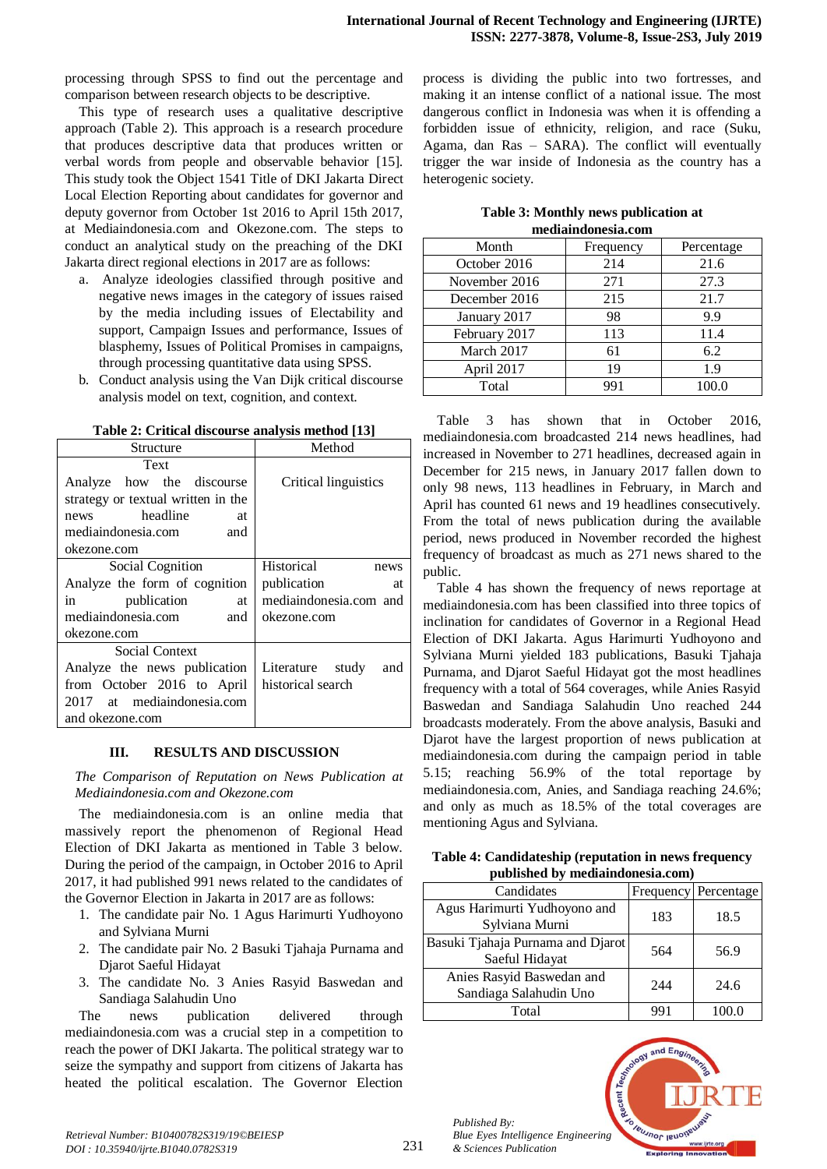processing through SPSS to find out the percentage and comparison between research objects to be descriptive.

This type of research uses a qualitative descriptive approach (Table 2). This approach is a research procedure that produces descriptive data that produces written or verbal words from people and observable behavior [15]. This study took the Object 1541 Title of DKI Jakarta Direct Local Election Reporting about candidates for governor and deputy governor from October 1st 2016 to April 15th 2017, at Mediaindonesia.com and Okezone.com. The steps to conduct an analytical study on the preaching of the DKI Jakarta direct regional elections in 2017 are as follows:

- a. Analyze ideologies classified through positive and negative news images in the category of issues raised by the media including issues of Electability and support, Campaign Issues and performance, Issues of blasphemy, Issues of Political Promises in campaigns, through processing quantitative data using SPSS.
- b. Conduct analysis using the Van Dijk critical discourse analysis model on text, cognition, and context.

| Structure                                 | Method                  |
|-------------------------------------------|-------------------------|
| Text                                      |                         |
| Analyze how the discourse                 | Critical linguistics    |
| strategy or textual written in the        |                         |
| news headline<br>at                       |                         |
| mediaindonesia.com<br>and                 |                         |
| okezone.com                               |                         |
| Social Cognition                          | Historical<br>news      |
| Analyze the form of cognition             | publication<br>at       |
| $\sin$ $\frac{1}{2}$<br>publication<br>at | mediaindonesia.com and  |
| mediaindonesia.com<br>and                 | okezone.com             |
| okezone.com                               |                         |
| Social Context                            |                         |
| Analyze the news publication              | Literature study<br>and |
| from October 2016 to April                | historical search       |
| 2017 at mediaindonesia.com                |                         |
| and okezone.com                           |                         |

**Table 2: Critical discourse analysis method [13]**

### **III. RESULTS AND DISCUSSION**

*The Comparison of Reputation on News Publication at Mediaindonesia.com and Okezone.com*

The mediaindonesia.com is an online media that massively report the phenomenon of Regional Head Election of DKI Jakarta as mentioned in Table 3 below. During the period of the campaign, in October 2016 to April 2017, it had published 991 news related to the candidates of the Governor Election in Jakarta in 2017 are as follows:

- 1. The candidate pair No. 1 Agus Harimurti Yudhoyono and Sylviana Murni
- 2. The candidate pair No. 2 Basuki Tjahaja Purnama and Djarot Saeful Hidayat
- 3. The candidate No. 3 Anies Rasyid Baswedan and Sandiaga Salahudin Uno

The news publication delivered through mediaindonesia.com was a crucial step in a competition to reach the power of DKI Jakarta. The political strategy war to seize the sympathy and support from citizens of Jakarta has heated the political escalation. The Governor Election

process is dividing the public into two fortresses, and making it an intense conflict of a national issue. The most dangerous conflict in Indonesia was when it is offending a forbidden issue of ethnicity, religion, and race (Suku, Agama, dan Ras – SARA). The conflict will eventually trigger the war inside of Indonesia as the country has a heterogenic society.

| Table 3: Monthly news publication at |  |
|--------------------------------------|--|
| mediaindonesia.com                   |  |

| Month         | Frequency | Percentage |
|---------------|-----------|------------|
| October 2016  | 214       | 21.6       |
| November 2016 | 271       | 27.3       |
| December 2016 | 215       | 21.7       |
| January 2017  | 98        | 9.9        |
| February 2017 | 113       | 11.4       |
| March 2017    | 61        | 6.2        |
| April 2017    | 19        | 1.9        |
| Total         | 991       | 100.0      |

Table 3 has shown that in October 2016, mediaindonesia.com broadcasted 214 news headlines, had increased in November to 271 headlines, decreased again in December for 215 news, in January 2017 fallen down to only 98 news, 113 headlines in February, in March and April has counted 61 news and 19 headlines consecutively. From the total of news publication during the available period, news produced in November recorded the highest frequency of broadcast as much as 271 news shared to the public.

Table 4 has shown the frequency of news reportage at mediaindonesia.com has been classified into three topics of inclination for candidates of Governor in a Regional Head Election of DKI Jakarta. Agus Harimurti Yudhoyono and Sylviana Murni yielded 183 publications, Basuki Tjahaja Purnama, and Djarot Saeful Hidayat got the most headlines frequency with a total of 564 coverages, while Anies Rasyid Baswedan and Sandiaga Salahudin Uno reached 244 broadcasts moderately. From the above analysis, Basuki and Djarot have the largest proportion of news publication at mediaindonesia.com during the campaign period in table 5.15; reaching 56.9% of the total reportage by mediaindonesia.com, Anies, and Sandiaga reaching 24.6%; and only as much as 18.5% of the total coverages are mentioning Agus and Sylviana.

| Table 4: Candidateship (reputation in news frequency |
|------------------------------------------------------|
| published by mediaindonesia.com)                     |

| равные ву несицимоневшести,                         |     |                      |
|-----------------------------------------------------|-----|----------------------|
| Candidates                                          |     | Frequency Percentage |
| Agus Harimurti Yudhoyono and<br>Sylviana Murni      | 183 | 18.5                 |
| Basuki Tjahaja Purnama and Djarot<br>Saeful Hidayat | 564 | 56.9                 |
| Anies Rasyid Baswedan and<br>Sandiaga Salahudin Uno | 244 | 24.6                 |
| Total                                               | 991 | 100.0                |



*Published By:*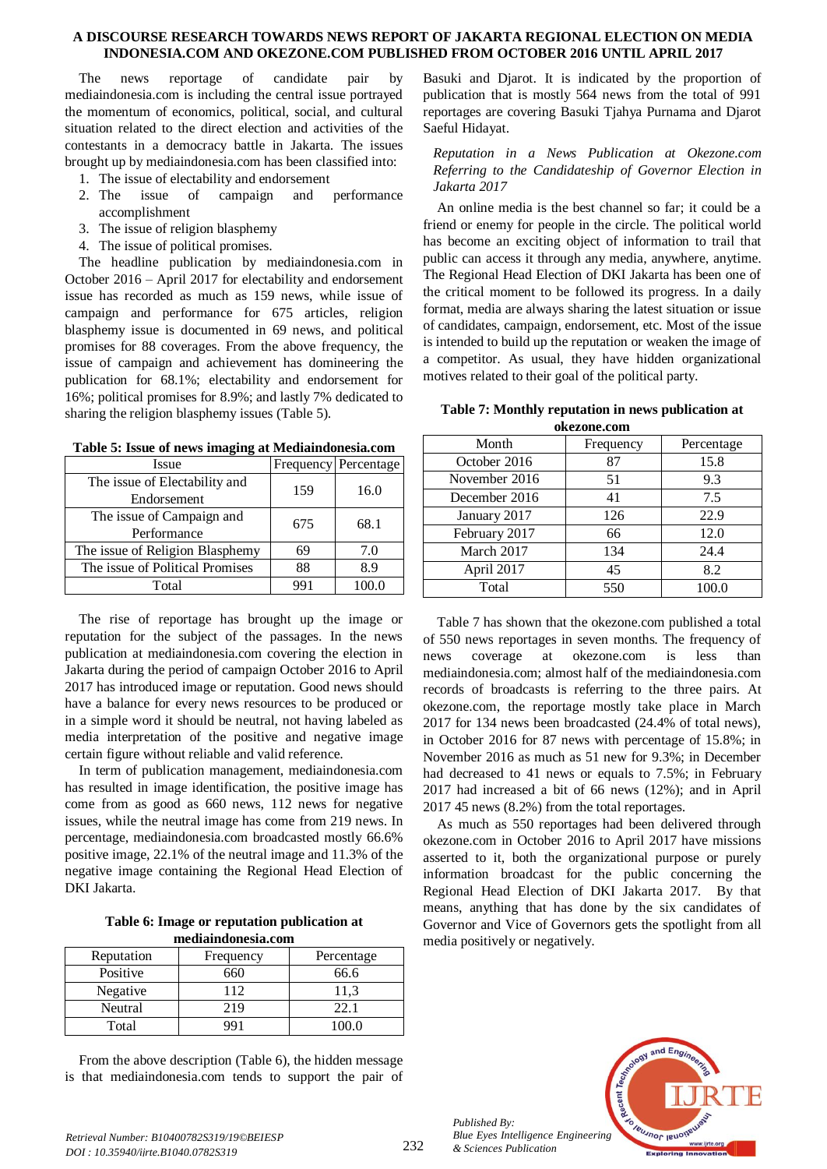The news reportage of candidate pair by mediaindonesia.com is including the central issue portrayed the momentum of economics, political, social, and cultural situation related to the direct election and activities of the contestants in a democracy battle in Jakarta. The issues brought up by mediaindonesia.com has been classified into:

- 1. The issue of electability and endorsement
- 2. The issue of campaign and performance accomplishment
- 3. The issue of religion blasphemy
- 4. The issue of political promises.

The headline publication by mediaindonesia.com in October 2016 – April 2017 for electability and endorsement issue has recorded as much as 159 news, while issue of campaign and performance for 675 articles, religion blasphemy issue is documented in 69 news, and political promises for 88 coverages. From the above frequency, the issue of campaign and achievement has domineering the publication for 68.1%; electability and endorsement for 16%; political promises for 8.9%; and lastly 7% dedicated to sharing the religion blasphemy issues (Table 5).

| Issue                           |     | Frequency Percentage |  |
|---------------------------------|-----|----------------------|--|
| The issue of Electability and   | 159 | 16.0                 |  |
| Endorsement                     |     |                      |  |
| The issue of Campaign and       | 675 | 68.1                 |  |
| Performance                     |     |                      |  |
| The issue of Religion Blasphemy | 69  | 7.0                  |  |
| The issue of Political Promises | 88  | 8.9                  |  |
| Total                           | 991 |                      |  |

**Table 5: Issue of news imaging at Mediaindonesia.com**

The rise of reportage has brought up the image or reputation for the subject of the passages. In the news publication at mediaindonesia.com covering the election in Jakarta during the period of campaign October 2016 to April 2017 has introduced image or reputation. Good news should have a balance for every news resources to be produced or in a simple word it should be neutral, not having labeled as media interpretation of the positive and negative image certain figure without reliable and valid reference.

In term of publication management, mediaindonesia.com has resulted in image identification, the positive image has come from as good as 660 news, 112 news for negative issues, while the neutral image has come from 219 news. In percentage, mediaindonesia.com broadcasted mostly 66.6% positive image, 22.1% of the neutral image and 11.3% of the negative image containing the Regional Head Election of DKI Jakarta.

**Table 6: Image or reputation publication at mediaindonesia.com**

| Reputation | Frequency | Percentage |
|------------|-----------|------------|
| Positive   | 660       | 66.6       |
| Negative   | 112       | 11.3       |
| Neutral    | 219       | າາ         |
| Total      | QQ.       | 100 O      |

From the above description (Table 6), the hidden message is that mediaindonesia.com tends to support the pair of

Basuki and Djarot. It is indicated by the proportion of publication that is mostly 564 news from the total of 991 reportages are covering Basuki Tjahya Purnama and Djarot Saeful Hidayat.

*Reputation in a News Publication at Okezone.com Referring to the Candidateship of Governor Election in Jakarta 2017*

An online media is the best channel so far; it could be a friend or enemy for people in the circle. The political world has become an exciting object of information to trail that public can access it through any media, anywhere, anytime. The Regional Head Election of DKI Jakarta has been one of the critical moment to be followed its progress. In a daily format, media are always sharing the latest situation or issue of candidates, campaign, endorsement, etc. Most of the issue is intended to build up the reputation or weaken the image of a competitor. As usual, they have hidden organizational motives related to their goal of the political party.

| Table 7: Monthly reputation in news publication at |
|----------------------------------------------------|
| okezone.com                                        |

| Month         | Frequency | Percentage |
|---------------|-----------|------------|
| October 2016  | 87        | 15.8       |
| November 2016 | 51        | 9.3        |
| December 2016 | 41        | 7.5        |
| January 2017  | 126       | 22.9       |
| February 2017 | 66        | 12.0       |
| March 2017    | 134       | 24.4       |
| April 2017    | 45        | 8.2        |
| Total         | 550       | 100.0      |

Table 7 has shown that the okezone.com published a total of 550 news reportages in seven months. The frequency of news coverage at okezone.com is less than mediaindonesia.com; almost half of the mediaindonesia.com records of broadcasts is referring to the three pairs. At okezone.com, the reportage mostly take place in March 2017 for 134 news been broadcasted (24.4% of total news), in October 2016 for 87 news with percentage of 15.8%; in November 2016 as much as 51 new for 9.3%; in December had decreased to 41 news or equals to 7.5%; in February 2017 had increased a bit of 66 news (12%); and in April 2017 45 news (8.2%) from the total reportages.

As much as 550 reportages had been delivered through okezone.com in October 2016 to April 2017 have missions asserted to it, both the organizational purpose or purely information broadcast for the public concerning the Regional Head Election of DKI Jakarta 2017. By that means, anything that has done by the six candidates of Governor and Vice of Governors gets the spotlight from all media positively or negatively.



*Published By:*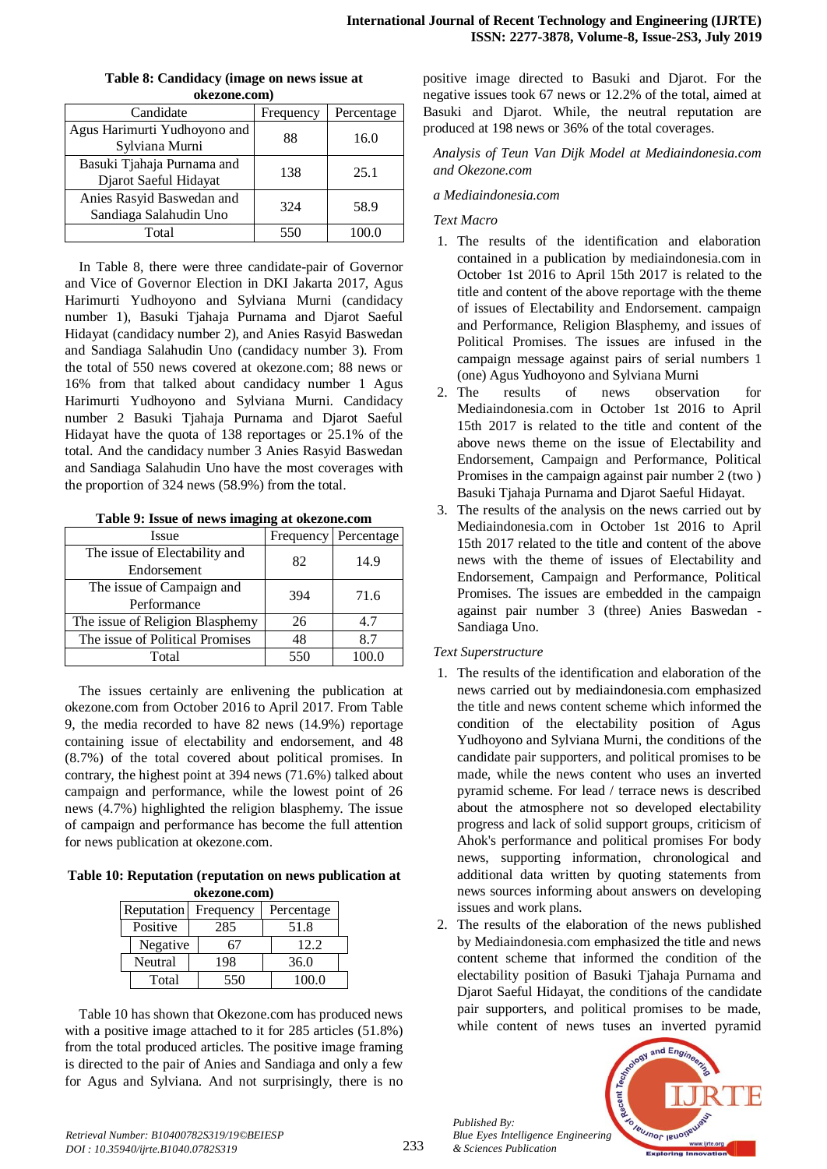| <b>OKEZONE.COM)</b>                                 |           |            |  |
|-----------------------------------------------------|-----------|------------|--|
| Candidate                                           | Frequency | Percentage |  |
| Agus Harimurti Yudhoyono and<br>Sylviana Murni      | 88        | 16.0       |  |
| Basuki Tjahaja Purnama and<br>Djarot Saeful Hidayat | 138       | 25.1       |  |
| Anies Rasyid Baswedan and<br>Sandiaga Salahudin Uno | 324       | 58.9       |  |
| Total                                               | 550       | 100.0      |  |

**Table 8: Candidacy (image on news issue at okezone.com)**

In Table 8, there were three candidate-pair of Governor and Vice of Governor Election in DKI Jakarta 2017, Agus Harimurti Yudhoyono and Sylviana Murni (candidacy number 1), Basuki Tjahaja Purnama and Djarot Saeful Hidayat (candidacy number 2), and Anies Rasyid Baswedan and Sandiaga Salahudin Uno (candidacy number 3). From the total of 550 news covered at okezone.com; 88 news or 16% from that talked about candidacy number 1 Agus Harimurti Yudhoyono and Sylviana Murni. Candidacy number 2 Basuki Tjahaja Purnama and Djarot Saeful Hidayat have the quota of 138 reportages or 25.1% of the total. And the candidacy number 3 Anies Rasyid Baswedan and Sandiaga Salahudin Uno have the most coverages with the proportion of 324 news (58.9%) from the total.

|  |  |  |  |  |  | Table 9: Issue of news imaging at okezone.com |
|--|--|--|--|--|--|-----------------------------------------------|
|--|--|--|--|--|--|-----------------------------------------------|

| <b>Issue</b>                    | Frequency | Percentage |  |
|---------------------------------|-----------|------------|--|
| The issue of Electability and   | 82        | 14.9       |  |
| Endorsement                     |           |            |  |
| The issue of Campaign and       | 394       | 71.6       |  |
| Performance                     |           |            |  |
| The issue of Religion Blasphemy | 26        | 4.7        |  |
| The issue of Political Promises | 48        | 8.7        |  |
| Total                           | 550       |            |  |

The issues certainly are enlivening the publication at okezone.com from October 2016 to April 2017. From Table 9, the media recorded to have 82 news (14.9%) reportage containing issue of electability and endorsement, and 48 (8.7%) of the total covered about political promises. In contrary, the highest point at 394 news (71.6%) talked about campaign and performance, while the lowest point of 26 news (4.7%) highlighted the religion blasphemy. The issue of campaign and performance has become the full attention for news publication at okezone.com.

**Table 10: Reputation (reputation on news publication at okezone.com)**

| Reputation | Frequency | Percentage |       |  |
|------------|-----------|------------|-------|--|
| Positive   | 285       |            | 51.8  |  |
| Negative   |           |            | 12.2  |  |
| Neutral    | 198       |            | 36.0  |  |
| Total      | 550       |            | 100.0 |  |

Table 10 has shown that Okezone.com has produced news with a positive image attached to it for 285 articles (51.8%) from the total produced articles. The positive image framing is directed to the pair of Anies and Sandiaga and only a few for Agus and Sylviana. And not surprisingly, there is no

positive image directed to Basuki and Djarot. For the negative issues took 67 news or 12.2% of the total, aimed at Basuki and Djarot. While, the neutral reputation are produced at 198 news or 36% of the total coverages.

*Analysis of Teun Van Dijk Model at Mediaindonesia.com and Okezone.com*

## *a Mediaindonesia.com*

## *Text Macro*

- 1. The results of the identification and elaboration contained in a publication by mediaindonesia.com in October 1st 2016 to April 15th 2017 is related to the title and content of the above reportage with the theme of issues of Electability and Endorsement. campaign and Performance, Religion Blasphemy, and issues of Political Promises. The issues are infused in the campaign message against pairs of serial numbers 1 (one) Agus Yudhoyono and Sylviana Murni
- 2. The results of news observation for Mediaindonesia.com in October 1st 2016 to April 15th 2017 is related to the title and content of the above news theme on the issue of Electability and Endorsement, Campaign and Performance, Political Promises in the campaign against pair number 2 (two ) Basuki Tjahaja Purnama and Djarot Saeful Hidayat.
- 3. The results of the analysis on the news carried out by Mediaindonesia.com in October 1st 2016 to April 15th 2017 related to the title and content of the above news with the theme of issues of Electability and Endorsement, Campaign and Performance, Political Promises. The issues are embedded in the campaign against pair number 3 (three) Anies Baswedan - Sandiaga Uno.

## *Text Superstructure*

- 1. The results of the identification and elaboration of the news carried out by mediaindonesia.com emphasized the title and news content scheme which informed the condition of the electability position of Agus Yudhoyono and Sylviana Murni, the conditions of the candidate pair supporters, and political promises to be made, while the news content who uses an inverted pyramid scheme. For lead / terrace news is described about the atmosphere not so developed electability progress and lack of solid support groups, criticism of Ahok's performance and political promises For body news, supporting information, chronological and additional data written by quoting statements from news sources informing about answers on developing issues and work plans.
- 2. The results of the elaboration of the news published by Mediaindonesia.com emphasized the title and news content scheme that informed the condition of the electability position of Basuki Tjahaja Purnama and Djarot Saeful Hidayat, the conditions of the candidate pair supporters, and political promises to be made, while content of news tuses an inverted pyramid



*Published By:*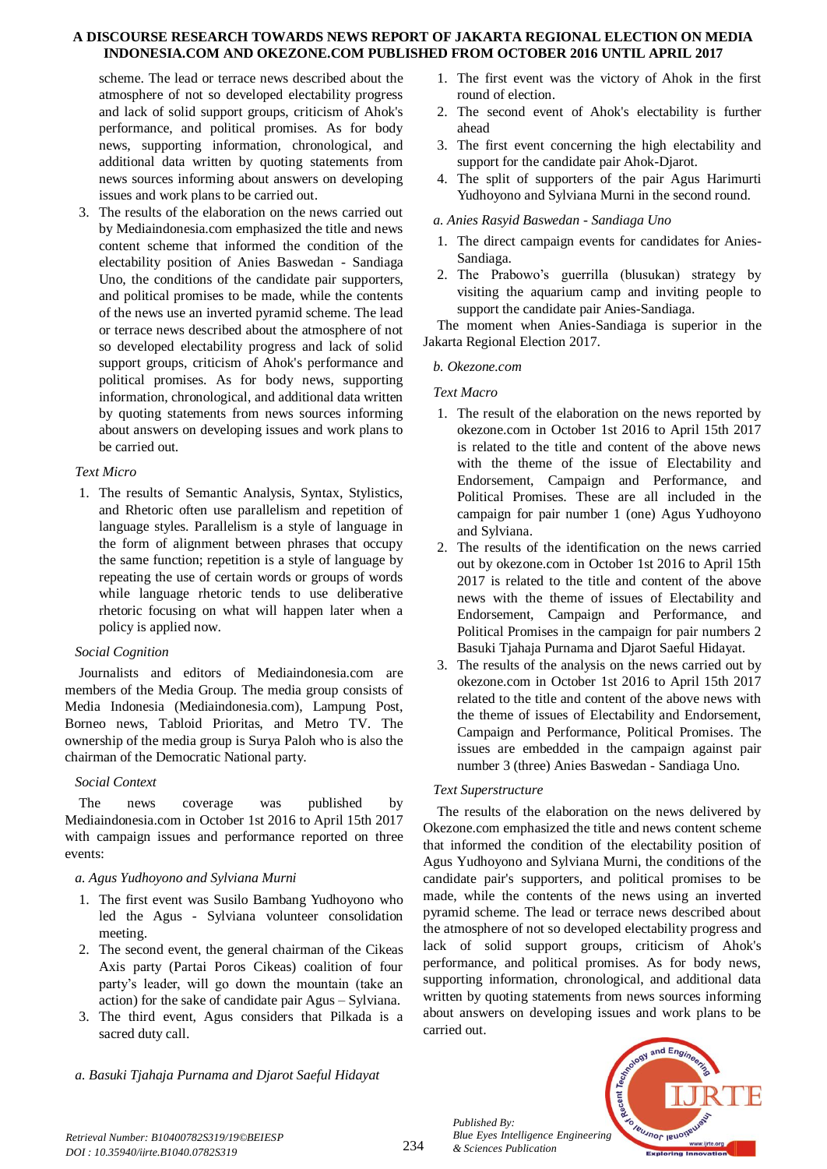scheme. The lead or terrace news described about the atmosphere of not so developed electability progress and lack of solid support groups, criticism of Ahok's performance, and political promises. As for body news, supporting information, chronological, and additional data written by quoting statements from news sources informing about answers on developing issues and work plans to be carried out.

3. The results of the elaboration on the news carried out by Mediaindonesia.com emphasized the title and news content scheme that informed the condition of the electability position of Anies Baswedan - Sandiaga Uno, the conditions of the candidate pair supporters, and political promises to be made, while the contents of the news use an inverted pyramid scheme. The lead or terrace news described about the atmosphere of not so developed electability progress and lack of solid support groups, criticism of Ahok's performance and political promises. As for body news, supporting information, chronological, and additional data written by quoting statements from news sources informing about answers on developing issues and work plans to be carried out.

## *Text Micro*

1. The results of Semantic Analysis, Syntax, Stylistics, and Rhetoric often use parallelism and repetition of language styles. Parallelism is a style of language in the form of alignment between phrases that occupy the same function; repetition is a style of language by repeating the use of certain words or groups of words while language rhetoric tends to use deliberative rhetoric focusing on what will happen later when a policy is applied now.

# *Social Cognition*

Journalists and editors of Mediaindonesia.com are members of the Media Group. The media group consists of Media Indonesia (Mediaindonesia.com), Lampung Post, Borneo news, Tabloid Prioritas, and Metro TV. The ownership of the media group is Surya Paloh who is also the chairman of the Democratic National party.

## *Social Context*

The news coverage was published by Mediaindonesia.com in October 1st 2016 to April 15th 2017 with campaign issues and performance reported on three events:

# *a. Agus Yudhoyono and Sylviana Murni*

- 1. The first event was Susilo Bambang Yudhoyono who led the Agus - Sylviana volunteer consolidation meeting.
- 2. The second event, the general chairman of the Cikeas Axis party (Partai Poros Cikeas) coalition of four party's leader, will go down the mountain (take an action) for the sake of candidate pair Agus – Sylviana.
- 3. The third event, Agus considers that Pilkada is a sacred duty call.
- *a. Basuki Tjahaja Purnama and Djarot Saeful Hidayat*
- 1. The first event was the victory of Ahok in the first round of election.
- 2. The second event of Ahok's electability is further ahead
- 3. The first event concerning the high electability and support for the candidate pair Ahok-Djarot.
- 4. The split of supporters of the pair Agus Harimurti Yudhoyono and Sylviana Murni in the second round.

## *a. Anies Rasyid Baswedan - Sandiaga Uno*

- 1. The direct campaign events for candidates for Anies-Sandiaga.
- 2. The Prabowo's guerrilla (blusukan) strategy by visiting the aquarium camp and inviting people to support the candidate pair Anies-Sandiaga.

The moment when Anies-Sandiaga is superior in the Jakarta Regional Election 2017.

## *b. Okezone.com*

## *Text Macro*

- 1. The result of the elaboration on the news reported by okezone.com in October 1st 2016 to April 15th 2017 is related to the title and content of the above news with the theme of the issue of Electability and Endorsement, Campaign and Performance, and Political Promises. These are all included in the campaign for pair number 1 (one) Agus Yudhoyono and Sylviana.
- 2. The results of the identification on the news carried out by okezone.com in October 1st 2016 to April 15th 2017 is related to the title and content of the above news with the theme of issues of Electability and Endorsement, Campaign and Performance, and Political Promises in the campaign for pair numbers 2 Basuki Tjahaja Purnama and Djarot Saeful Hidayat.
- 3. The results of the analysis on the news carried out by okezone.com in October 1st 2016 to April 15th 2017 related to the title and content of the above news with the theme of issues of Electability and Endorsement, Campaign and Performance, Political Promises. The issues are embedded in the campaign against pair number 3 (three) Anies Baswedan - Sandiaga Uno.

## *Text Superstructure*

The results of the elaboration on the news delivered by Okezone.com emphasized the title and news content scheme that informed the condition of the electability position of Agus Yudhoyono and Sylviana Murni, the conditions of the candidate pair's supporters, and political promises to be made, while the contents of the news using an inverted pyramid scheme. The lead or terrace news described about the atmosphere of not so developed electability progress and lack of solid support groups, criticism of Ahok's performance, and political promises. As for body news, supporting information, chronological, and additional data written by quoting statements from news sources informing about answers on developing issues and work plans to be carried out.



*Retrieval Number: B10400782S319/19©BEIESP DOI : 10.35940/ijrte.B1040.0782S319*

*Published By: Blue Eyes Intelligence Engineering & Sciences Publication*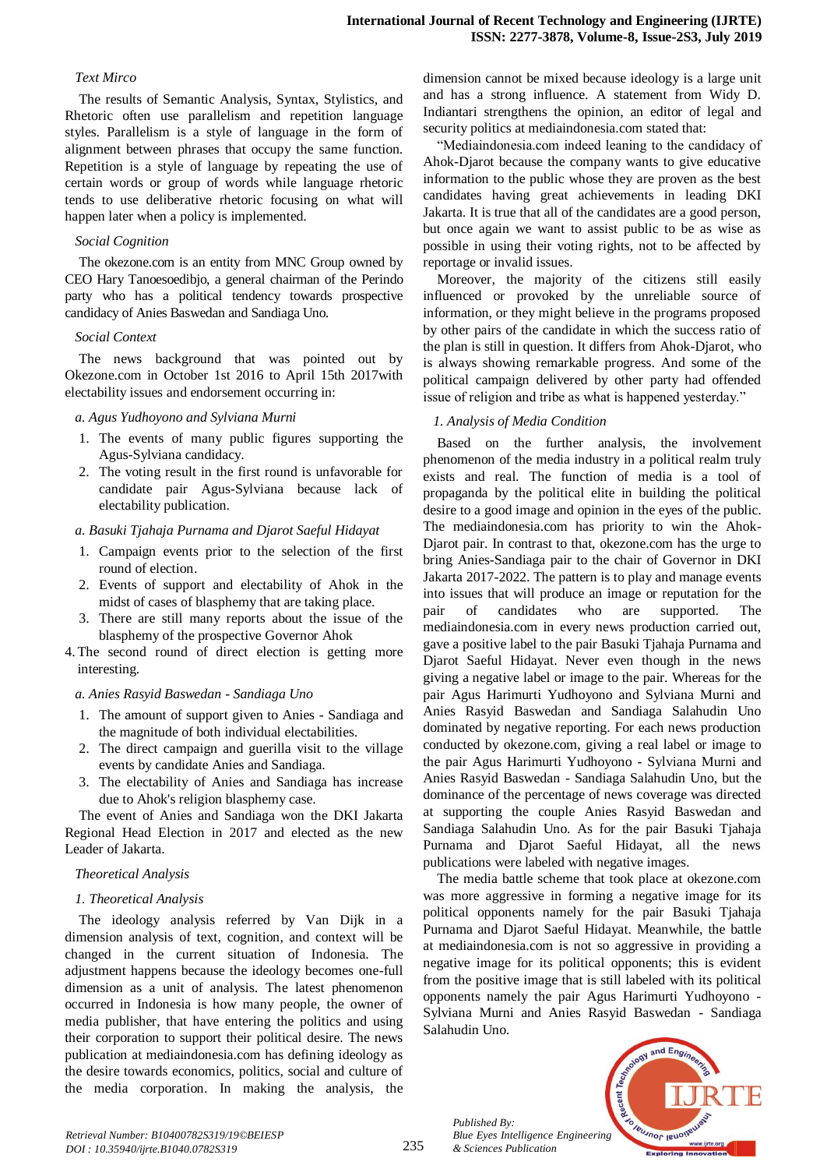#### *Text Mirco*

The results of Semantic Analysis, Syntax, Stylistics, and Rhetoric often use parallelism and repetition language styles. Parallelism is a style of language in the form of alignment between phrases that occupy the same function. Repetition is a style of language by repeating the use of certain words or group of words while language rhetoric tends to use deliberative rhetoric focusing on what will happen later when a policy is implemented.

#### *Social Cognition*

The okezone.com is an entity from MNC Group owned by CEO Hary Tanoesoedibjo, a general chairman of the Perindo party who has a political tendency towards prospective candidacy of Anies Baswedan and Sandiaga Uno.

#### *Social Context*

The news background that was pointed out by Okezone.com in October 1st 2016 to April 15th 2017with electability issues and endorsement occurring in:

#### *a. Agus Yudhoyono and Sylviana Murni*

- 1. The events of many public figures supporting the Agus-Sylviana candidacy.
- 2. The voting result in the first round is unfavorable for candidate pair Agus-Sylviana because lack of electability publication.

#### *a. Basuki Tjahaja Purnama and Djarot Saeful Hidayat*

- 1. Campaign events prior to the selection of the first round of election.
- 2. Events of support and electability of Ahok in the midst of cases of blasphemy that are taking place.
- 3. There are still many reports about the issue of the blasphemy of the prospective Governor Ahok
- 4. The second round of direct election is getting more interesting.

### *a. Anies Rasyid Baswedan - Sandiaga Uno*

- 1. The amount of support given to Anies Sandiaga and the magnitude of both individual electabilities.
- 2. The direct campaign and guerilla visit to the village events by candidate Anies and Sandiaga.
- 3. The electability of Anies and Sandiaga has increase due to Ahok's religion blasphemy case.

The event of Anies and Sandiaga won the DKI Jakarta Regional Head Election in 2017 and elected as the new Leader of Jakarta.

### *Theoretical Analysis*

### *1. Theoretical Analysis*

The ideology analysis referred by Van Dijk in a dimension analysis of text, cognition, and context will be changed in the current situation of Indonesia. The adjustment happens because the ideology becomes one-full dimension as a unit of analysis. The latest phenomenon occurred in Indonesia is how many people, the owner of media publisher, that have entering the politics and using their corporation to support their political desire. The news publication at mediaindonesia.com has defining ideology as the desire towards economics, politics, social and culture of the media corporation. In making the analysis, the dimension cannot be mixed because ideology is a large unit and has a strong influence. A statement from Widy D. Indiantari strengthens the opinion, an editor of legal and security politics at mediaindonesia.com stated that:

"Mediaindonesia.com indeed leaning to the candidacy of Ahok-Djarot because the company wants to give educative information to the public whose they are proven as the best candidates having great achievements in leading DKI Jakarta. It is true that all of the candidates are a good person, but once again we want to assist public to be as wise as possible in using their voting rights, not to be affected by reportage or invalid issues.

Moreover, the majority of the citizens still easily influenced or provoked by the unreliable source of information, or they might believe in the programs proposed by other pairs of the candidate in which the success ratio of the plan is still in question. It differs from Ahok-Djarot, who is always showing remarkable progress. And some of the political campaign delivered by other party had offended issue of religion and tribe as what is happened yesterday."

### *1. Analysis of Media Condition*

Based on the further analysis, the involvement phenomenon of the media industry in a political realm truly exists and real. The function of media is a tool of propaganda by the political elite in building the political desire to a good image and opinion in the eyes of the public. The mediaindonesia.com has priority to win the Ahok-Djarot pair. In contrast to that, okezone.com has the urge to bring Anies-Sandiaga pair to the chair of Governor in DKI Jakarta 2017-2022. The pattern is to play and manage events into issues that will produce an image or reputation for the pair of candidates who are supported. The mediaindonesia.com in every news production carried out, gave a positive label to the pair Basuki Tjahaja Purnama and Djarot Saeful Hidayat. Never even though in the news giving a negative label or image to the pair. Whereas for the pair Agus Harimurti Yudhoyono and Sylviana Murni and Anies Rasyid Baswedan and Sandiaga Salahudin Uno dominated by negative reporting. For each news production conducted by okezone.com, giving a real label or image to the pair Agus Harimurti Yudhoyono - Sylviana Murni and Anies Rasyid Baswedan - Sandiaga Salahudin Uno, but the dominance of the percentage of news coverage was directed at supporting the couple Anies Rasyid Baswedan and Sandiaga Salahudin Uno. As for the pair Basuki Tjahaja Purnama and Djarot Saeful Hidayat, all the news publications were labeled with negative images.

The media battle scheme that took place at okezone.com was more aggressive in forming a negative image for its political opponents namely for the pair Basuki Tjahaja Purnama and Djarot Saeful Hidayat. Meanwhile, the battle at mediaindonesia.com is not so aggressive in providing a negative image for its political opponents; this is evident from the positive image that is still labeled with its political opponents namely the pair Agus Harimurti Yudhoyono - Sylviana Murni and Anies Rasyid Baswedan - Sandiaga Salahudin Uno.

*Published By: Blue Eyes Intelligence Engineering & Sciences Publication* 

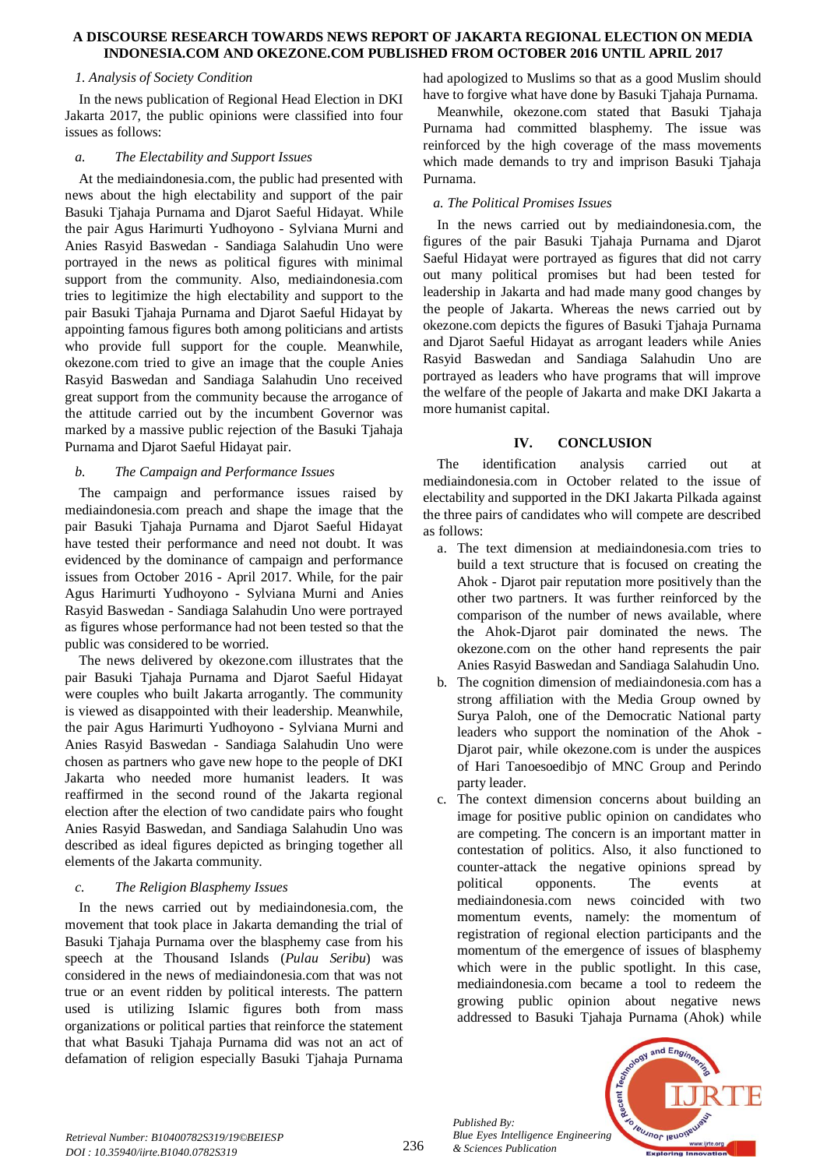#### *1. Analysis of Society Condition*

In the news publication of Regional Head Election in DKI Jakarta 2017, the public opinions were classified into four issues as follows:

## *a. The Electability and Support Issues*

At the mediaindonesia.com, the public had presented with news about the high electability and support of the pair Basuki Tjahaja Purnama and Djarot Saeful Hidayat. While the pair Agus Harimurti Yudhoyono - Sylviana Murni and Anies Rasyid Baswedan - Sandiaga Salahudin Uno were portrayed in the news as political figures with minimal support from the community. Also, mediaindonesia.com tries to legitimize the high electability and support to the pair Basuki Tjahaja Purnama and Djarot Saeful Hidayat by appointing famous figures both among politicians and artists who provide full support for the couple. Meanwhile, okezone.com tried to give an image that the couple Anies Rasyid Baswedan and Sandiaga Salahudin Uno received great support from the community because the arrogance of the attitude carried out by the incumbent Governor was marked by a massive public rejection of the Basuki Tjahaja Purnama and Djarot Saeful Hidayat pair.

## *b. The Campaign and Performance Issues*

The campaign and performance issues raised by mediaindonesia.com preach and shape the image that the pair Basuki Tjahaja Purnama and Djarot Saeful Hidayat have tested their performance and need not doubt. It was evidenced by the dominance of campaign and performance issues from October 2016 - April 2017. While, for the pair Agus Harimurti Yudhoyono - Sylviana Murni and Anies Rasyid Baswedan - Sandiaga Salahudin Uno were portrayed as figures whose performance had not been tested so that the public was considered to be worried.

The news delivered by okezone.com illustrates that the pair Basuki Tjahaja Purnama and Djarot Saeful Hidayat were couples who built Jakarta arrogantly. The community is viewed as disappointed with their leadership. Meanwhile, the pair Agus Harimurti Yudhoyono - Sylviana Murni and Anies Rasyid Baswedan - Sandiaga Salahudin Uno were chosen as partners who gave new hope to the people of DKI Jakarta who needed more humanist leaders. It was reaffirmed in the second round of the Jakarta regional election after the election of two candidate pairs who fought Anies Rasyid Baswedan, and Sandiaga Salahudin Uno was described as ideal figures depicted as bringing together all elements of the Jakarta community.

## *c. The Religion Blasphemy Issues*

In the news carried out by mediaindonesia.com, the movement that took place in Jakarta demanding the trial of Basuki Tjahaja Purnama over the blasphemy case from his speech at the Thousand Islands (*Pulau Seribu*) was considered in the news of mediaindonesia.com that was not true or an event ridden by political interests. The pattern used is utilizing Islamic figures both from mass organizations or political parties that reinforce the statement that what Basuki Tjahaja Purnama did was not an act of defamation of religion especially Basuki Tjahaja Purnama

had apologized to Muslims so that as a good Muslim should have to forgive what have done by Basuki Tjahaja Purnama.

Meanwhile, okezone.com stated that Basuki Tjahaja Purnama had committed blasphemy. The issue was reinforced by the high coverage of the mass movements which made demands to try and imprison Basuki Tjahaja Purnama.

## *a. The Political Promises Issues*

In the news carried out by mediaindonesia.com, the figures of the pair Basuki Tjahaja Purnama and Djarot Saeful Hidayat were portrayed as figures that did not carry out many political promises but had been tested for leadership in Jakarta and had made many good changes by the people of Jakarta. Whereas the news carried out by okezone.com depicts the figures of Basuki Tjahaja Purnama and Djarot Saeful Hidayat as arrogant leaders while Anies Rasyid Baswedan and Sandiaga Salahudin Uno are portrayed as leaders who have programs that will improve the welfare of the people of Jakarta and make DKI Jakarta a more humanist capital.

## **IV. CONCLUSION**

The identification analysis carried out at mediaindonesia.com in October related to the issue of electability and supported in the DKI Jakarta Pilkada against the three pairs of candidates who will compete are described as follows:

- a. The text dimension at mediaindonesia.com tries to build a text structure that is focused on creating the Ahok - Djarot pair reputation more positively than the other two partners. It was further reinforced by the comparison of the number of news available, where the Ahok-Djarot pair dominated the news. The okezone.com on the other hand represents the pair Anies Rasyid Baswedan and Sandiaga Salahudin Uno.
- b. The cognition dimension of mediaindonesia.com has a strong affiliation with the Media Group owned by Surya Paloh, one of the Democratic National party leaders who support the nomination of the Ahok - Djarot pair, while okezone.com is under the auspices of Hari Tanoesoedibjo of MNC Group and Perindo party leader.
- c. The context dimension concerns about building an image for positive public opinion on candidates who are competing. The concern is an important matter in contestation of politics. Also, it also functioned to counter-attack the negative opinions spread by political opponents. The events at mediaindonesia.com news coincided with two momentum events, namely: the momentum of registration of regional election participants and the momentum of the emergence of issues of blasphemy which were in the public spotlight. In this case, mediaindonesia.com became a tool to redeem the growing public opinion about negative news addressed to Basuki Tjahaja Purnama (Ahok) while



*Published By:*